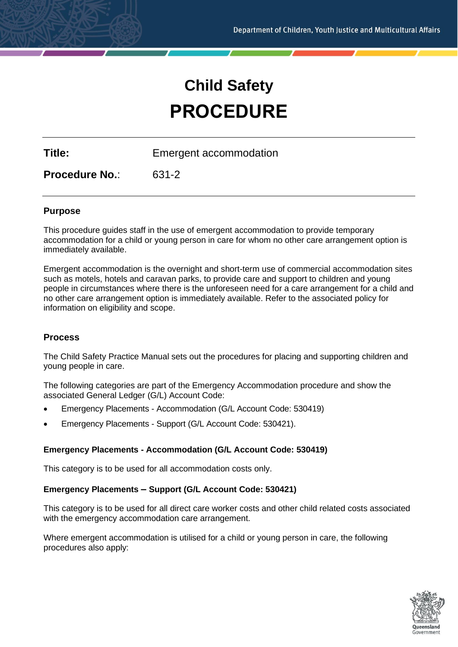# **Child Safety PROCEDURE**

**Title:** Emergent accommodation

**Procedure No.**: 631-2

# **Purpose**

This procedure guides staff in the use of emergent accommodation to provide temporary accommodation for a child or young person in care for whom no other care arrangement option is immediately available.

Emergent accommodation is the overnight and short-term use of commercial accommodation sites such as motels, hotels and caravan parks, to provide care and support to children and young people in circumstances where there is the unforeseen need for a care arrangement for a child and no other care arrangement option is immediately available. Refer to the associated policy for information on eligibility and scope.

## **Process**

The Child Safety Practice Manual sets out the procedures for placing and supporting children and young people in care.

The following categories are part of the Emergency Accommodation procedure and show the associated General Ledger (G/L) Account Code:

- Emergency Placements Accommodation (G/L Account Code: 530419)
- Emergency Placements Support (G/L Account Code: 530421).

## **Emergency Placements - Accommodation (G/L Account Code: 530419)**

This category is to be used for all accommodation costs only.

## **Emergency Placements – Support (G/L Account Code: 530421)**

This category is to be used for all direct care worker costs and other child related costs associated with the emergency accommodation care arrangement.

Where emergent accommodation is utilised for a child or young person in care, the following procedures also apply:

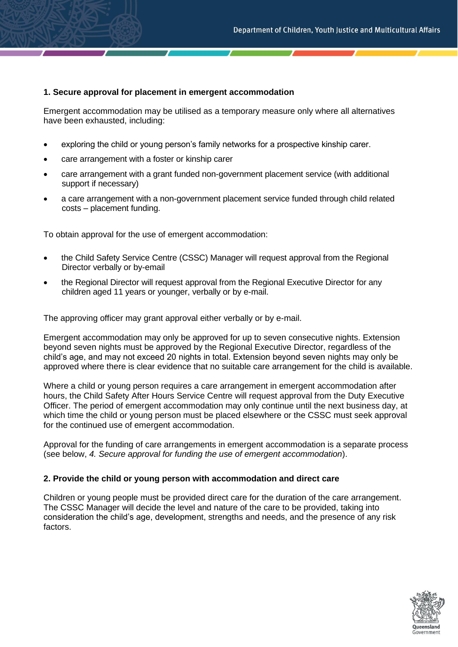#### **1. Secure approval for placement in emergent accommodation**

Emergent accommodation may be utilised as a temporary measure only where all alternatives have been exhausted, including:

- exploring the child or young person's family networks for a prospective kinship carer.
- care arrangement with a foster or kinship carer
- care arrangement with a grant funded non-government placement service (with additional support if necessary)
- a care arrangement with a non-government placement service funded through child related costs – placement funding.

To obtain approval for the use of emergent accommodation:

- the Child Safety Service Centre (CSSC) Manager will request approval from the Regional Director verbally or by-email
- the Regional Director will request approval from the Regional Executive Director for any children aged 11 years or younger, verbally or by e-mail.

The approving officer may grant approval either verbally or by e-mail.

Emergent accommodation may only be approved for up to seven consecutive nights. Extension beyond seven nights must be approved by the Regional Executive Director, regardless of the child's age, and may not exceed 20 nights in total. Extension beyond seven nights may only be approved where there is clear evidence that no suitable care arrangement for the child is available.

Where a child or young person requires a care arrangement in emergent accommodation after hours, the Child Safety After Hours Service Centre will request approval from the Duty Executive Officer. The period of emergent accommodation may only continue until the next business day, at which time the child or young person must be placed elsewhere or the CSSC must seek approval for the continued use of emergent accommodation.

Approval for the funding of care arrangements in emergent accommodation is a separate process (see below, *4. Secure approval for funding the use of emergent accommodation*).

## **2. Provide the child or young person with accommodation and direct care**

Children or young people must be provided direct care for the duration of the care arrangement. The CSSC Manager will decide the level and nature of the care to be provided, taking into consideration the child's age, development, strengths and needs, and the presence of any risk factors.

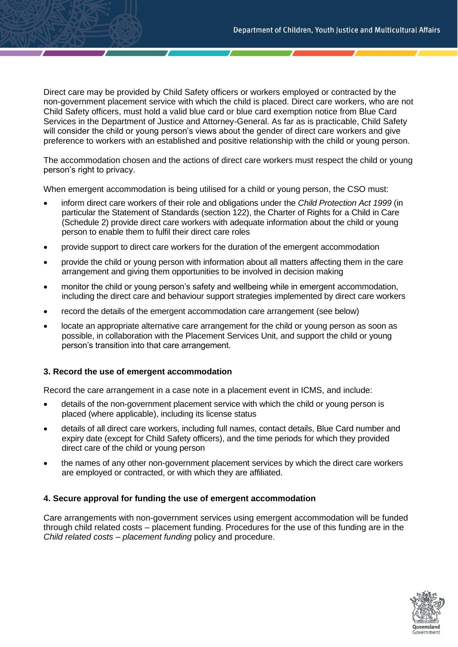Direct care may be provided by Child Safety officers or workers employed or contracted by the non-government placement service with which the child is placed. Direct care workers, who are not Child Safety officers, must hold a valid blue card or blue card exemption notice from Blue Card Services in the Department of Justice and Attorney-General. As far as is practicable, Child Safety will consider the child or young person's views about the gender of direct care workers and give preference to workers with an established and positive relationship with the child or young person.

The accommodation chosen and the actions of direct care workers must respect the child or young person's right to privacy.

When emergent accommodation is being utilised for a child or young person, the CSO must:

- inform direct care workers of their role and obligations under the *Child Protection Act 1999* (in particular the Statement of Standards (section 122), the Charter of Rights for a Child in Care (Schedule 2) provide direct care workers with adequate information about the child or young person to enable them to fulfil their direct care roles
- provide support to direct care workers for the duration of the emergent accommodation
- provide the child or young person with information about all matters affecting them in the care arrangement and giving them opportunities to be involved in decision making
- monitor the child or young person's safety and wellbeing while in emergent accommodation, including the direct care and behaviour support strategies implemented by direct care workers
- record the details of the emergent accommodation care arrangement (see below)
- locate an appropriate alternative care arrangement for the child or young person as soon as possible, in collaboration with the Placement Services Unit, and support the child or young person's transition into that care arrangement.

## **3. Record the use of emergent accommodation**

Record the care arrangement in a case note in a placement event in ICMS, and include:

- details of the non-government placement service with which the child or young person is placed (where applicable), including its license status
- details of all direct care workers, including full names, contact details, Blue Card number and expiry date (except for Child Safety officers), and the time periods for which they provided direct care of the child or young person
- the names of any other non-government placement services by which the direct care workers are employed or contracted, or with which they are affiliated.

## **4. Secure approval for funding the use of emergent accommodation**

Care arrangements with non-government services using emergent accommodation will be funded through child related costs – placement funding. Procedures for the use of this funding are in the *Child related costs – placement funding* policy and procedure.

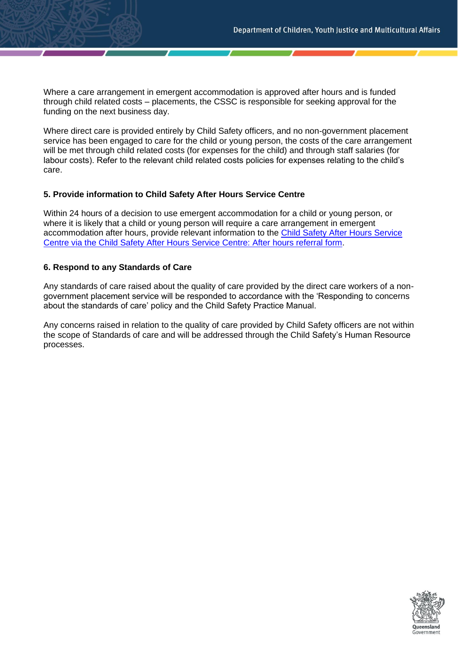Where a care arrangement in emergent accommodation is approved after hours and is funded through child related costs – placements, the CSSC is responsible for seeking approval for the funding on the next business day.

Where direct care is provided entirely by Child Safety officers, and no non-government placement service has been engaged to care for the child or young person, the costs of the care arrangement will be met through child related costs (for expenses for the child) and through staff salaries (for labour costs). Refer to the relevant child related costs policies for expenses relating to the child's care.

#### **5. Provide information to Child Safety After Hours Service Centre**

Within 24 hours of a decision to use emergent accommodation for a child or young person, or where it is likely that a child or young person will require a care arrangement in emergent accommodation after hours, provide relevant information to the Child Safety After Hours Service Centre via the [Child Safety After Hours Service Centre: After hours referral form.](https://cspm.csyw.qld.gov.au/resources/form/After-hours-referral/c9d7c9d6-1646-4523-8f4f-3da7a6130438)

#### **6. Respond to any Standards of Care**

Any standards of care raised about the quality of care provided by the direct care workers of a nongovernment placement service will be responded to accordance with the 'Responding to concerns about the standards of care' policy and the Child Safety Practice Manual.

Any concerns raised in relation to the quality of care provided by Child Safety officers are not within the scope of Standards of care and will be addressed through the Child Safety's Human Resource processes.

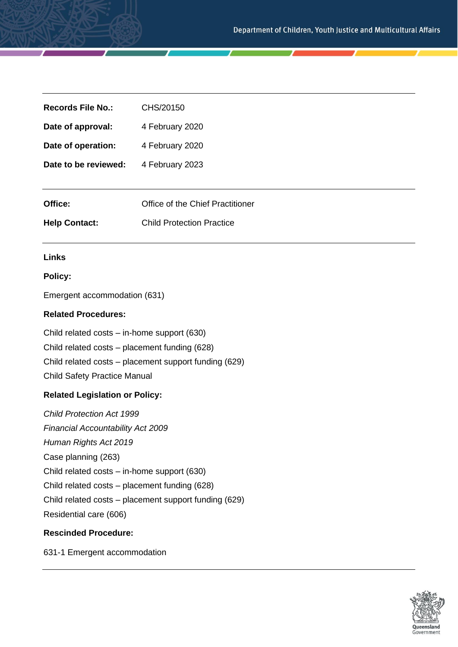| <b>Records File No.:</b> | CHS/20150                        |
|--------------------------|----------------------------------|
| Date of approval:        | 4 February 2020                  |
| Date of operation:       | 4 February 2020                  |
| Date to be reviewed:     | 4 February 2023                  |
|                          |                                  |
| Office:                  | Office of the Chief Practitioner |
| <b>Help Contact:</b>     | <b>Child Protection Practice</b> |

## **Links**

## **Policy:**

Emergent accommodation (631)

## **Related Procedures:**

Child related costs – in-home support (630) Child related costs – placement funding (628) Child related costs – placement support funding (629) Child Safety Practice Manual

## **Related Legislation or Policy:**

*Child Protection Act 1999 Financial Accountability Act 2009 Human Rights Act 2019* Case planning (263) Child related costs – in-home support (630) Child related costs – placement funding (628) Child related costs – placement support funding (629) Residential care (606)

# **Rescinded Procedure:**

631-1 Emergent accommodation